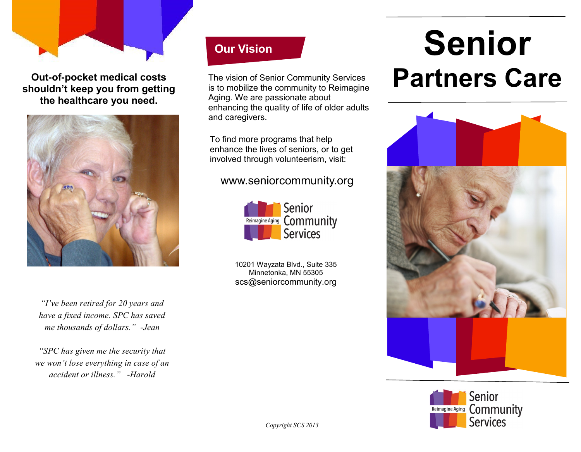

**Out-of-pocket medical costs shouldn't keep you from getting the healthcare you need.** 



**Our Vision**

The vision of Senior Community Services is to mobilize the community to Reimagine Aging. We are passionate about enhancing the quality of life of older adults and caregivers.

To find more programs that help enhance the lives of seniors, or to get involved through volunteerism, visit:

#### www.seniorcommunity.org



10201 Wayzata Blvd., Suite 335 Minnetonka, MN 55305 scs@seniorcommunity.org

# **Senior Partners Care**





*"I've been retired for 20 years and have a fixed income. SPC has saved me thousands of dollars." -Jean*

*"SPC has given me the security that we won't lose everything in case of an accident or illness."* -*Harold*